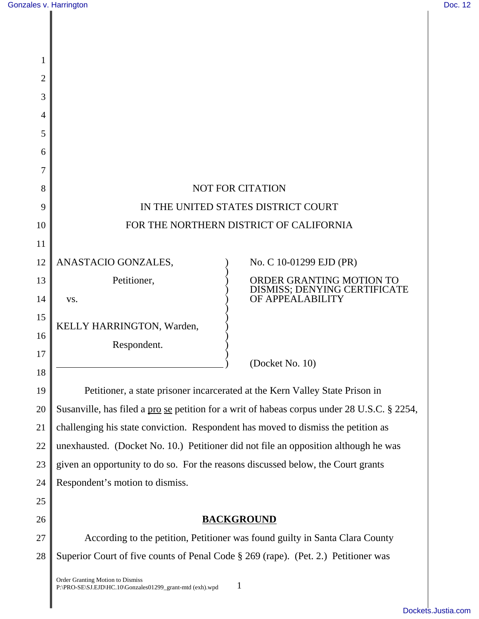| 1  |                                                                                              |                                                          |
|----|----------------------------------------------------------------------------------------------|----------------------------------------------------------|
| 2  |                                                                                              |                                                          |
| 3  |                                                                                              |                                                          |
| 4  |                                                                                              |                                                          |
| 5  |                                                                                              |                                                          |
| 6  |                                                                                              |                                                          |
| 7  |                                                                                              |                                                          |
| 8  | <b>NOT FOR CITATION</b>                                                                      |                                                          |
| 9  | IN THE UNITED STATES DISTRICT COURT                                                          |                                                          |
| 10 | FOR THE NORTHERN DISTRICT OF CALIFORNIA                                                      |                                                          |
| 11 |                                                                                              |                                                          |
| 12 | ANASTACIO GONZALES,                                                                          | No. C 10-01299 EJD (PR)                                  |
| 13 | Petitioner,                                                                                  | ORDER GRANTING MOTION TO<br>DISMISS; DENYING CERTIFICATE |
| 14 | VS.                                                                                          | OF APPEALABILITY                                         |
| 15 | KELLY HARRINGTON, Warden,                                                                    |                                                          |
| 16 | Respondent.                                                                                  |                                                          |
| 17 |                                                                                              | (Docket No. 10)                                          |
| 18 |                                                                                              |                                                          |
| 19 | Petitioner, a state prisoner incarcerated at the Kern Valley State Prison in                 |                                                          |
| 20 | Susanville, has filed a pro se petition for a writ of habeas corpus under 28 U.S.C. § 2254,  |                                                          |
| 21 | challenging his state conviction. Respondent has moved to dismiss the petition as            |                                                          |
| 22 | unexhausted. (Docket No. 10.) Petitioner did not file an opposition although he was          |                                                          |
| 23 | given an opportunity to do so. For the reasons discussed below, the Court grants             |                                                          |
| 24 | Respondent's motion to dismiss.                                                              |                                                          |
| 25 |                                                                                              |                                                          |
| 26 | <b>BACKGROUND</b>                                                                            |                                                          |
| 27 | According to the petition, Petitioner was found guilty in Santa Clara County                 |                                                          |
| 28 | Superior Court of five counts of Penal Code § 269 (rape). (Pet. 2.) Petitioner was           |                                                          |
|    | Order Granting Motion to Dismiss<br>P:\PRO-SE\SJ.EJD\HC.10\Gonzales01299_grant-mtd (exh).wpd |                                                          |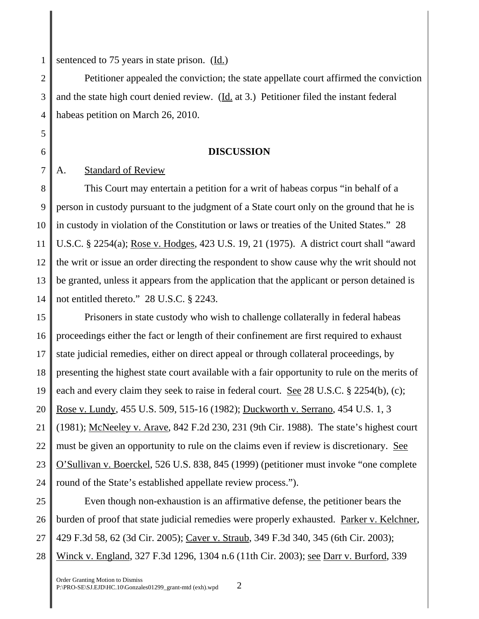1 sentenced to 75 years in state prison.  $(\underline{Id.})$ 

2 3 4 Petitioner appealed the conviction; the state appellate court affirmed the conviction and the state high court denied review. (Id. at 3.) Petitioner filed the instant federal habeas petition on March 26, 2010.

## **DISCUSSION**

A. Standard of Review

5

6

7

8 9 10 11 12 13 14 This Court may entertain a petition for a writ of habeas corpus "in behalf of a person in custody pursuant to the judgment of a State court only on the ground that he is in custody in violation of the Constitution or laws or treaties of the United States." 28 U.S.C. § 2254(a); Rose v. Hodges, 423 U.S. 19, 21 (1975). A district court shall "award the writ or issue an order directing the respondent to show cause why the writ should not be granted, unless it appears from the application that the applicant or person detained is not entitled thereto." 28 U.S.C. § 2243.

15 16 17 18 19 20 21 22 23 24 Prisoners in state custody who wish to challenge collaterally in federal habeas proceedings either the fact or length of their confinement are first required to exhaust state judicial remedies, either on direct appeal or through collateral proceedings, by presenting the highest state court available with a fair opportunity to rule on the merits of each and every claim they seek to raise in federal court. <u>See</u> 28 U.S.C. § 2254(b), (c); Rose v. Lundy, 455 U.S. 509, 515-16 (1982); Duckworth v. Serrano, 454 U.S. 1, 3 (1981); McNeeley v. Arave, 842 F.2d 230, 231 (9th Cir. 1988). The state's highest court must be given an opportunity to rule on the claims even if review is discretionary. See O'Sullivan v. Boerckel, 526 U.S. 838, 845 (1999) (petitioner must invoke "one complete round of the State's established appellate review process.").

25 26 27 28 Even though non-exhaustion is an affirmative defense, the petitioner bears the burden of proof that state judicial remedies were properly exhausted. Parker v. Kelchner, 429 F.3d 58, 62 (3d Cir. 2005); Caver v. Straub, 349 F.3d 340, 345 (6th Cir. 2003); Winck v. England, 327 F.3d 1296, 1304 n.6 (11th Cir. 2003); see Darr v. Burford, 339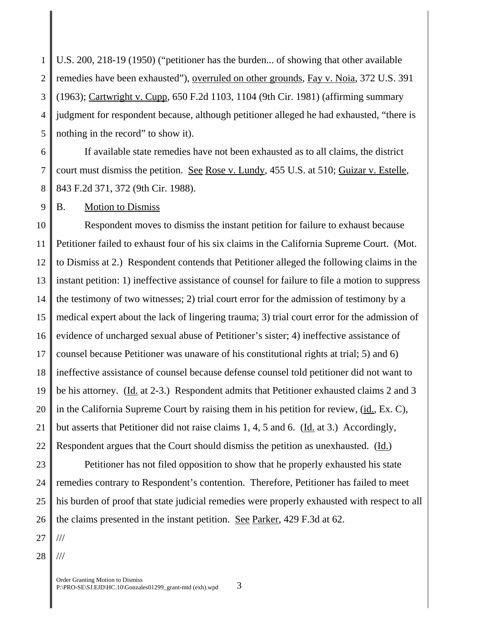1 2 3 4 5 U.S. 200, 218-19 (1950) ("petitioner has the burden... of showing that other available remedies have been exhausted"), overruled on other grounds, Fay v. Noia, 372 U.S. 391 (1963); Cartwright v. Cupp, 650 F.2d 1103, 1104 (9th Cir. 1981) (affirming summary judgment for respondent because, although petitioner alleged he had exhausted, "there is nothing in the record" to show it).

6 7 8 If available state remedies have not been exhausted as to all claims, the district court must dismiss the petition. See Rose v. Lundy, 455 U.S. at 510; Guizar v. Estelle, 843 F.2d 371, 372 (9th Cir. 1988).

9 B. Motion to Dismiss

10 11 12 13 14 15 16 17 18 19 20 21 22 Respondent moves to dismiss the instant petition for failure to exhaust because Petitioner failed to exhaust four of his six claims in the California Supreme Court. (Mot. to Dismiss at 2.) Respondent contends that Petitioner alleged the following claims in the instant petition: 1) ineffective assistance of counsel for failure to file a motion to suppress the testimony of two witnesses; 2) trial court error for the admission of testimony by a medical expert about the lack of lingering trauma; 3) trial court error for the admission of evidence of uncharged sexual abuse of Petitioner's sister; 4) ineffective assistance of counsel because Petitioner was unaware of his constitutional rights at trial; 5) and 6) ineffective assistance of counsel because defense counsel told petitioner did not want to be his attorney. (Id. at 2-3.) Respondent admits that Petitioner exhausted claims 2 and 3 in the California Supreme Court by raising them in his petition for review, (id., Ex. C), but asserts that Petitioner did not raise claims 1, 4, 5 and 6. (Id. at 3.) Accordingly, Respondent argues that the Court should dismiss the petition as unexhausted. (Id.)

23 24 25 26 Petitioner has not filed opposition to show that he properly exhausted his state remedies contrary to Respondent's contention. Therefore, Petitioner has failed to meet his burden of proof that state judicial remedies were properly exhausted with respect to all the claims presented in the instant petition. <u>See Parker</u>, 429 F.3d at 62.

27 ///

28 ///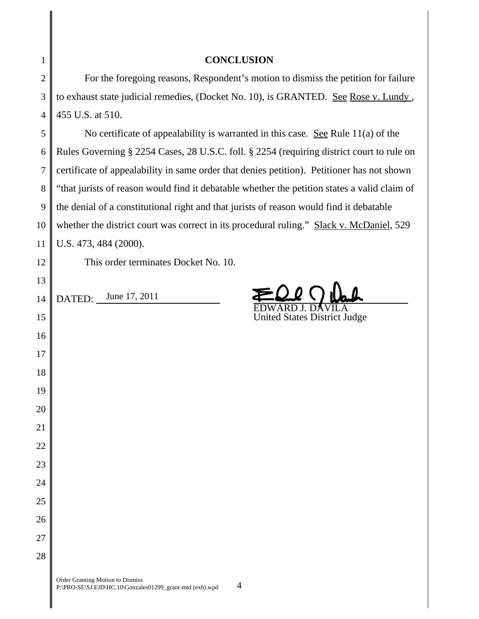| 1              | <b>CONCLUSION</b>                                                                            |  |
|----------------|----------------------------------------------------------------------------------------------|--|
| $\overline{2}$ | For the foregoing reasons, Respondent's motion to dismiss the petition for failure           |  |
| 3              | to exhaust state judicial remedies, (Docket No. 10), is GRANTED. See Rose v. Lundy,          |  |
| $\overline{4}$ | 455 U.S. at 510.                                                                             |  |
| 5              | No certificate of appealability is warranted in this case. See Rule $11(a)$ of the           |  |
| 6              | Rules Governing § 2254 Cases, 28 U.S.C. foll. § 2254 (requiring district court to rule on    |  |
| 7              | certificate of appealability in same order that denies petition). Petitioner has not shown   |  |
| 8              | "that jurists of reason would find it debatable whether the petition states a valid claim of |  |
| 9              | the denial of a constitutional right and that jurists of reason would find it debatable      |  |
| 10             | whether the district court was correct in its procedural ruling." Slack v. McDaniel, 529     |  |
| 11             | U.S. 473, 484 (2000).                                                                        |  |
| 12             | This order terminates Docket No. 10.                                                         |  |
| 13             |                                                                                              |  |
| 14             | June 17, 2011<br>DATED:                                                                      |  |
| 15             | <b>United States District Judge</b>                                                          |  |
| 16             |                                                                                              |  |
| 17             |                                                                                              |  |
| 18             |                                                                                              |  |
| 19             |                                                                                              |  |
| 20             |                                                                                              |  |
| 21             |                                                                                              |  |
| 22             |                                                                                              |  |
| 23             |                                                                                              |  |
| 24             |                                                                                              |  |
| 25             |                                                                                              |  |
| 26             |                                                                                              |  |
| 27             |                                                                                              |  |
| 28             |                                                                                              |  |
|                |                                                                                              |  |